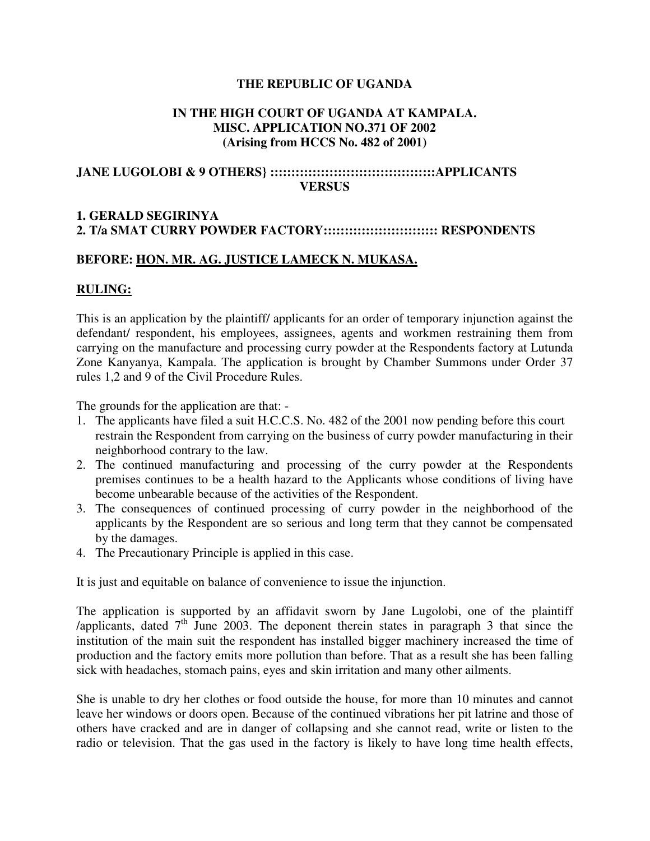### **THE REPUBLIC OF UGANDA**

#### **IN THE HIGH COURT OF UGANDA AT KAMPALA. MISC. APPLICATION NO.371 OF 2002 (Arising from HCCS No. 482 of 2001)**

## **JANE LUGOLOBI & 9 OTHERS} :::::::::::::::::::::::::::::::::::::::APPLICANTS VERSUS**

# **1. GERALD SEGIRINYA 2. T/a SMAT CURRY POWDER FACTORY::::::::::::::::::::::::::: RESPONDENTS**

## **BEFORE: HON. MR. AG. JUSTICE LAMECK N. MUKASA.**

# **RULING:**

This is an application by the plaintiff/ applicants for an order of temporary injunction against the defendant/ respondent, his employees, assignees, agents and workmen restraining them from carrying on the manufacture and processing curry powder at the Respondents factory at Lutunda Zone Kanyanya, Kampala. The application is brought by Chamber Summons under Order 37 rules 1,2 and 9 of the Civil Procedure Rules.

The grounds for the application are that: -

- 1. The applicants have filed a suit H.C.C.S. No. 482 of the 2001 now pending before this court restrain the Respondent from carrying on the business of curry powder manufacturing in their neighborhood contrary to the law.
- 2. The continued manufacturing and processing of the curry powder at the Respondents premises continues to be a health hazard to the Applicants whose conditions of living have become unbearable because of the activities of the Respondent.
- 3. The consequences of continued processing of curry powder in the neighborhood of the applicants by the Respondent are so serious and long term that they cannot be compensated by the damages.
- 4. The Precautionary Principle is applied in this case.

It is just and equitable on balance of convenience to issue the injunction.

The application is supported by an affidavit sworn by Jane Lugolobi, one of the plaintiff /applicants, dated  $7<sup>th</sup>$  June 2003. The deponent therein states in paragraph 3 that since the institution of the main suit the respondent has installed bigger machinery increased the time of production and the factory emits more pollution than before. That as a result she has been falling sick with headaches, stomach pains, eyes and skin irritation and many other ailments.

She is unable to dry her clothes or food outside the house, for more than 10 minutes and cannot leave her windows or doors open. Because of the continued vibrations her pit latrine and those of others have cracked and are in danger of collapsing and she cannot read, write or listen to the radio or television. That the gas used in the factory is likely to have long time health effects,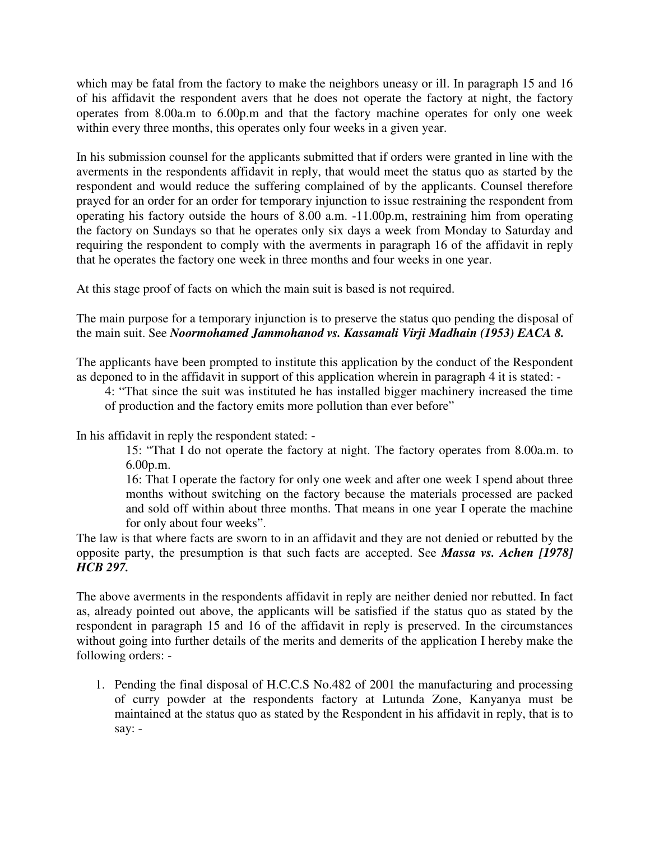which may be fatal from the factory to make the neighbors uneasy or ill. In paragraph 15 and 16 of his affidavit the respondent avers that he does not operate the factory at night, the factory operates from 8.00a.m to 6.00p.m and that the factory machine operates for only one week within every three months, this operates only four weeks in a given year.

In his submission counsel for the applicants submitted that if orders were granted in line with the averments in the respondents affidavit in reply, that would meet the status quo as started by the respondent and would reduce the suffering complained of by the applicants. Counsel therefore prayed for an order for an order for temporary injunction to issue restraining the respondent from operating his factory outside the hours of 8.00 a.m. -11.00p.m, restraining him from operating the factory on Sundays so that he operates only six days a week from Monday to Saturday and requiring the respondent to comply with the averments in paragraph 16 of the affidavit in reply that he operates the factory one week in three months and four weeks in one year.

At this stage proof of facts on which the main suit is based is not required.

The main purpose for a temporary injunction is to preserve the status quo pending the disposal of the main suit. See *Noormohamed Jammohanod vs. Kassamali Virji Madhain (1953) EACA 8.* 

The applicants have been prompted to institute this application by the conduct of the Respondent as deponed to in the affidavit in support of this application wherein in paragraph 4 it is stated: -

4: "That since the suit was instituted he has installed bigger machinery increased the time of production and the factory emits more pollution than ever before"

In his affidavit in reply the respondent stated: -

15: "That I do not operate the factory at night. The factory operates from 8.00a.m. to 6.00p.m.

16: That I operate the factory for only one week and after one week I spend about three months without switching on the factory because the materials processed are packed and sold off within about three months. That means in one year I operate the machine for only about four weeks".

The law is that where facts are sworn to in an affidavit and they are not denied or rebutted by the opposite party, the presumption is that such facts are accepted. See *Massa vs. Achen [1978] HCB 297.* 

The above averments in the respondents affidavit in reply are neither denied nor rebutted. In fact as, already pointed out above, the applicants will be satisfied if the status quo as stated by the respondent in paragraph 15 and 16 of the affidavit in reply is preserved. In the circumstances without going into further details of the merits and demerits of the application I hereby make the following orders: -

1. Pending the final disposal of H.C.C.S No.482 of 2001 the manufacturing and processing of curry powder at the respondents factory at Lutunda Zone, Kanyanya must be maintained at the status quo as stated by the Respondent in his affidavit in reply, that is to say: -